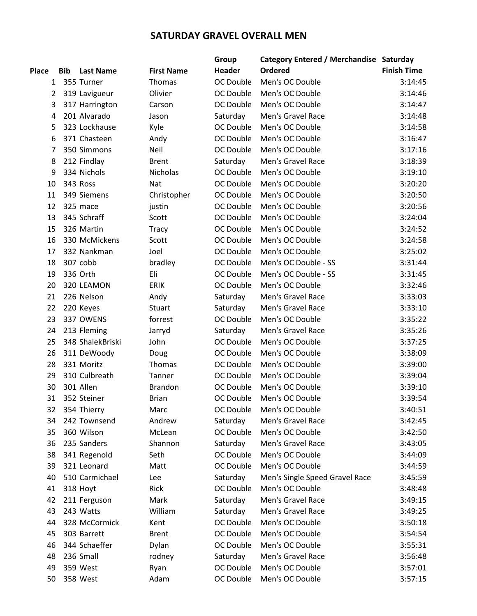## **SATURDAY GRAVEL OVERALL MEN**

|                |            |                  |                   | Group            | Category Entered / Merchandise Saturday |                    |
|----------------|------------|------------------|-------------------|------------------|-----------------------------------------|--------------------|
| <b>Place</b>   | <b>Bib</b> | <b>Last Name</b> | <b>First Name</b> | Header           | <b>Ordered</b>                          | <b>Finish Time</b> |
| $\mathbf{1}$   |            | 355 Turner       | Thomas            | OC Double        | Men's OC Double                         | 3:14:45            |
| $\overline{2}$ |            | 319 Lavigueur    | Olivier           | OC Double        | Men's OC Double                         | 3:14:46            |
| 3              |            | 317 Harrington   | Carson            | OC Double        | Men's OC Double                         | 3:14:47            |
| 4              |            | 201 Alvarado     | Jason             | Saturday         | Men's Gravel Race                       | 3:14:48            |
| 5              |            | 323 Lockhause    | Kyle              | OC Double        | Men's OC Double                         | 3:14:58            |
| 6              |            | 371 Chasteen     | Andy              | OC Double        | Men's OC Double                         | 3:16:47            |
| 7              |            | 350 Simmons      | Neil              | OC Double        | Men's OC Double                         | 3:17:16            |
| 8              |            | 212 Findlay      | <b>Brent</b>      | Saturday         | Men's Gravel Race                       | 3:18:39            |
| 9              |            | 334 Nichols      | Nicholas          | OC Double        | Men's OC Double                         | 3:19:10            |
| 10             |            | 343 Ross         | Nat               | OC Double        | Men's OC Double                         | 3:20:20            |
| 11             |            | 349 Siemens      | Christopher       | OC Double        | Men's OC Double                         | 3:20:50            |
| 12             |            | 325 mace         | justin            | OC Double        | Men's OC Double                         | 3:20:56            |
| 13             |            | 345 Schraff      | Scott             | OC Double        | Men's OC Double                         | 3:24:04            |
| 15             |            | 326 Martin       | <b>Tracy</b>      | OC Double        | Men's OC Double                         | 3:24:52            |
| 16             |            | 330 McMickens    | Scott             | OC Double        | Men's OC Double                         | 3:24:58            |
| 17             |            | 332 Nankman      | Joel              | OC Double        | Men's OC Double                         | 3:25:02            |
| 18             |            | 307 cobb         | bradley           | OC Double        | Men's OC Double - SS                    | 3:31:44            |
| 19             |            | 336 Orth         | Eli               | OC Double        | Men's OC Double - SS                    | 3:31:45            |
| 20             |            | 320 LEAMON       | <b>ERIK</b>       | OC Double        | Men's OC Double                         | 3:32:46            |
| 21             |            | 226 Nelson       | Andy              | Saturday         | Men's Gravel Race                       | 3:33:03            |
| 22             |            | 220 Keyes        | Stuart            | Saturday         | Men's Gravel Race                       | 3:33:10            |
| 23             |            | 337 OWENS        | forrest           | OC Double        | Men's OC Double                         | 3:35:22            |
| 24             |            | 213 Fleming      | Jarryd            | Saturday         | Men's Gravel Race                       | 3:35:26            |
| 25             |            | 348 ShalekBriski | John              | OC Double        | Men's OC Double                         | 3:37:25            |
| 26             |            | 311 DeWoody      | Doug              | OC Double        | Men's OC Double                         | 3:38:09            |
| 28             |            | 331 Moritz       | Thomas            | OC Double        | Men's OC Double                         | 3:39:00            |
| 29             |            | 310 Culbreath    | Tanner            | OC Double        | Men's OC Double                         | 3:39:04            |
| 30             |            | 301 Allen        | <b>Brandon</b>    | OC Double        | Men's OC Double                         | 3:39:10            |
| 31             |            | 352 Steiner      | <b>Brian</b>      | <b>OC Double</b> | Men's OC Double                         | 3:39:54            |
| 32             |            | 354 Thierry      | Marc              | OC Double        | Men's OC Double                         | 3:40:51            |
| 34             |            | 242 Townsend     | Andrew            | Saturday         | Men's Gravel Race                       | 3:42:45            |
| 35             |            | 360 Wilson       | McLean            | OC Double        | Men's OC Double                         | 3:42:50            |
| 36             |            | 235 Sanders      | Shannon           | Saturday         | Men's Gravel Race                       | 3:43:05            |
| 38             |            | 341 Regenold     | Seth              | OC Double        | Men's OC Double                         | 3:44:09            |
| 39             |            | 321 Leonard      | Matt              | OC Double        | Men's OC Double                         | 3:44:59            |
| 40             |            | 510 Carmichael   | Lee               | Saturday         | Men's Single Speed Gravel Race          | 3:45:59            |
| 41             |            | 318 Hoyt         | <b>Rick</b>       | OC Double        | Men's OC Double                         | 3:48:48            |
| 42             |            | 211 Ferguson     | Mark              | Saturday         | Men's Gravel Race                       | 3:49:15            |
| 43             |            | 243 Watts        | William           | Saturday         | Men's Gravel Race                       | 3:49:25            |
| 44             |            | 328 McCormick    | Kent              | OC Double        | Men's OC Double                         | 3:50:18            |
| 45             |            | 303 Barrett      | <b>Brent</b>      | OC Double        | Men's OC Double                         | 3:54:54            |
| 46             |            | 344 Schaeffer    | Dylan             | OC Double        | Men's OC Double                         | 3:55:31            |
| 48             |            | 236 Small        | rodney            | Saturday         | Men's Gravel Race                       | 3:56:48            |
| 49             |            | 359 West         | Ryan              | OC Double        | Men's OC Double                         | 3:57:01            |
| 50             |            | 358 West         | Adam              | OC Double        | Men's OC Double                         | 3:57:15            |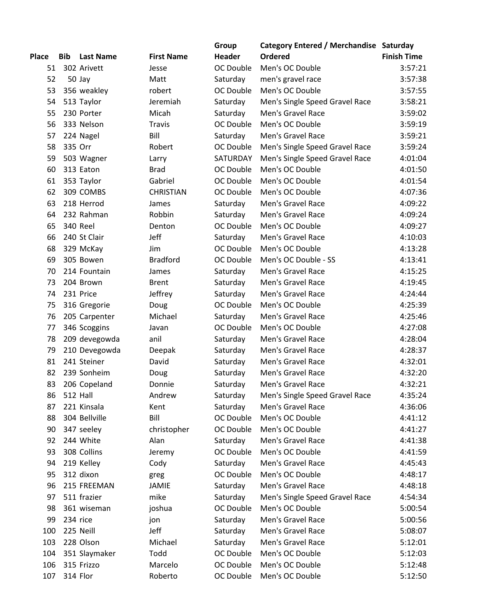|              |            |                  |                      | Group     | Category Entered / Merchandise Saturday |                    |
|--------------|------------|------------------|----------------------|-----------|-----------------------------------------|--------------------|
| <b>Place</b> | <b>Bib</b> | <b>Last Name</b> | <b>First Name</b>    | Header    | Ordered                                 | <b>Finish Time</b> |
| 51           |            | 302 Arivett      | Jesse                | OC Double | Men's OC Double                         | 3:57:21            |
| 52           |            | 50 Jay           | Matt                 | Saturday  | men's gravel race                       | 3:57:38            |
| 53           |            | 356 weakley      | robert               | OC Double | Men's OC Double                         | 3:57:55            |
| 54           |            | 513 Taylor       | Jeremiah             | Saturday  | Men's Single Speed Gravel Race          | 3:58:21            |
| 55           |            | 230 Porter       | Micah                | Saturday  | Men's Gravel Race                       | 3:59:02            |
| 56           |            | 333 Nelson       | <b>Travis</b>        | OC Double | Men's OC Double                         | 3:59:19            |
| 57           |            | 224 Nagel        | Bill                 | Saturday  | Men's Gravel Race                       | 3:59:21            |
| 58           | 335 Orr    |                  | Robert               | OC Double | Men's Single Speed Gravel Race          | 3:59:24            |
| 59           |            | 503 Wagner       | Larry                | SATURDAY  | Men's Single Speed Gravel Race          | 4:01:04            |
| 60           |            | 313 Eaton        | <b>Brad</b>          | OC Double | Men's OC Double                         | 4:01:50            |
| 61           |            | 353 Taylor       | Gabriel              | OC Double | Men's OC Double                         | 4:01:54            |
| 62           |            | 309 COMBS        | <b>CHRISTIAN</b>     | OC Double | Men's OC Double                         | 4:07:36            |
| 63           |            | 218 Herrod       | James                | Saturday  | Men's Gravel Race                       | 4:09:22            |
| 64           |            | 232 Rahman       | Robbin               | Saturday  | Men's Gravel Race                       | 4:09:24            |
| 65           |            | 340 Reel         | Denton               | OC Double | Men's OC Double                         | 4:09:27            |
| 66           |            | 240 St Clair     | Jeff                 | Saturday  | Men's Gravel Race                       | 4:10:03            |
| 68           |            | 329 McKay        | Jim                  | OC Double | Men's OC Double                         | 4:13:28            |
| 69           |            | 305 Bowen        | <b>Bradford</b>      | OC Double | Men's OC Double - SS                    | 4:13:41            |
| 70           |            | 214 Fountain     | James                | Saturday  | Men's Gravel Race                       | 4:15:25            |
| 73           |            | 204 Brown        | <b>Brent</b>         | Saturday  | Men's Gravel Race                       | 4:19:45            |
| 74           |            | 231 Price        | Jeffrey              | Saturday  | Men's Gravel Race                       | 4:24:44            |
| 75           |            | 316 Gregorie     | Doug                 | OC Double | Men's OC Double                         | 4:25:39            |
| 76           |            | 205 Carpenter    | Michael              | Saturday  | Men's Gravel Race                       | 4:25:46            |
| 77           |            | 346 Scoggins     | Javan                | OC Double | Men's OC Double                         | 4:27:08            |
| 78           |            | 209 devegowda    | anil                 | Saturday  | Men's Gravel Race                       | 4:28:04            |
| 79           |            | 210 Devegowda    | Deepak               | Saturday  | Men's Gravel Race                       | 4:28:37            |
| 81           |            | 241 Steiner      | David                | Saturday  | Men's Gravel Race                       | 4:32:01            |
| 82           |            | 239 Sonheim      | Doug                 | Saturday  | Men's Gravel Race                       | 4:32:20            |
| 83           |            | 206 Copeland     | Donnie               | Saturday  | Men's Gravel Race                       | 4:32:21            |
| 86           |            | <b>512 Hall</b>  | Andrew               | Saturday  | Men's Single Speed Gravel Race          | 4:35:24            |
| 87           |            | 221 Kinsala      | Kent                 | Saturday  | Men's Gravel Race                       | 4:36:06            |
| 88           |            | 304 Bellville    | Bill                 | OC Double | Men's OC Double                         | 4:41:12            |
| 90           |            | 347 seeley       | christopher          | OC Double | Men's OC Double                         | 4:41:27            |
| 92           |            | 244 White        | Alan                 | Saturday  | Men's Gravel Race                       | 4:41:38            |
| 93           |            | 308 Collins      | Jeremy               | OC Double | Men's OC Double                         | 4:41:59            |
| 94           |            | 219 Kelley       |                      | Saturday  | Men's Gravel Race                       | 4:45:43            |
| 95           |            | 312 dixon        | Cody                 | OC Double | Men's OC Double                         | 4:48:17            |
| 96           |            | 215 FREEMAN      | greg<br><b>JAMIE</b> |           | Men's Gravel Race                       |                    |
|              |            | 511 frazier      |                      | Saturday  |                                         | 4:48:18            |
| 97           |            |                  | mike                 | Saturday  | Men's Single Speed Gravel Race          | 4:54:34            |
| 98           |            | 361 wiseman      | joshua               | OC Double | Men's OC Double                         | 5:00:54            |
| 99           | 234 rice   |                  | jon                  | Saturday  | Men's Gravel Race                       | 5:00:56            |
| 100          |            | 225 Neill        | Jeff                 | Saturday  | Men's Gravel Race                       | 5:08:07            |
| 103          |            | 228 Olson        | Michael              | Saturday  | Men's Gravel Race                       | 5:12:01            |
| 104          |            | 351 Slaymaker    | Todd                 | OC Double | Men's OC Double                         | 5:12:03            |
| 106          |            | 315 Frizzo       | Marcelo              | OC Double | Men's OC Double                         | 5:12:48            |
| 107          |            | 314 Flor         | Roberto              | OC Double | Men's OC Double                         | 5:12:50            |